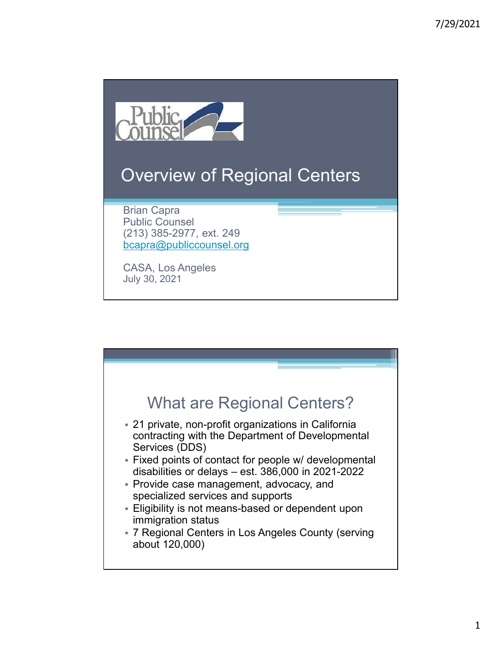

# Overview of Regional Centers

Brian Capra Public Counsel (213) 385-2977, ext. 249 bcapra@publiccounsel.org

CASA, Los Angeles July 30, 2021

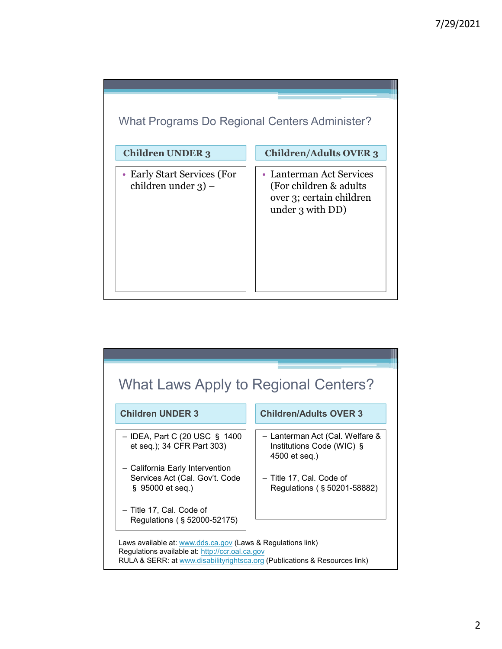

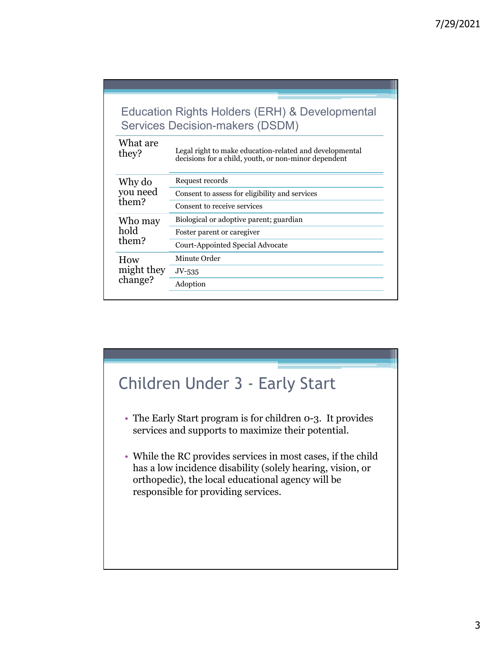| <b>Education Rights Holders (ERH) &amp; Developmental</b><br><b>Services Decision-makers (DSDM)</b>                         |                                                                                                                 |
|-----------------------------------------------------------------------------------------------------------------------------|-----------------------------------------------------------------------------------------------------------------|
| What are<br>they?                                                                                                           | Legal right to make education-related and developmental<br>decisions for a child, youth, or non-minor dependent |
| Why do<br>you need<br>them?                                                                                                 | Request records                                                                                                 |
|                                                                                                                             | Consent to assess for eligibility and services                                                                  |
|                                                                                                                             | Consent to receive services                                                                                     |
| Who may<br>hold<br>them?                                                                                                    | Biological or adoptive parent; guardian                                                                         |
|                                                                                                                             | Foster parent or caregiver                                                                                      |
|                                                                                                                             | Court-Appointed Special Advocate                                                                                |
| How<br>might they<br>change?                                                                                                | Minute Order                                                                                                    |
|                                                                                                                             | $JV$ -535                                                                                                       |
|                                                                                                                             | Adoption                                                                                                        |
|                                                                                                                             |                                                                                                                 |
|                                                                                                                             |                                                                                                                 |
| <b>Children Under 3 - Early Start</b>                                                                                       |                                                                                                                 |
| The Early Start program is for children 0-3. It provides<br>$\bullet$<br>services and supports to maximize their potential. |                                                                                                                 |

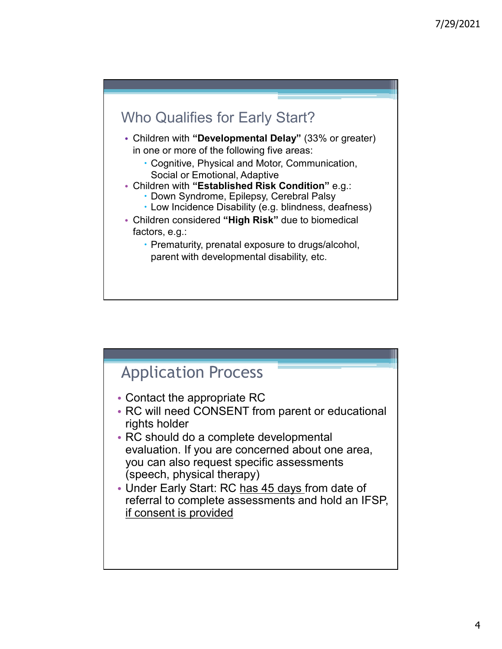### Who Qualifies for Early Start?

- Children with "Developmental Delay" (33% or greater) in one or more of the following five areas:
	- Cognitive, Physical and Motor, Communication, Social or Emotional, Adaptive
- Children with "Established Risk Condition" e.g.:
	- Down Syndrome, Epilepsy, Cerebral Palsy
	- Low Incidence Disability (e.g. blindness, deafness)
- Children considered "High Risk" due to biomedical factors, e.g.:
	- Prematurity, prenatal exposure to drugs/alcohol, parent with developmental disability, etc.

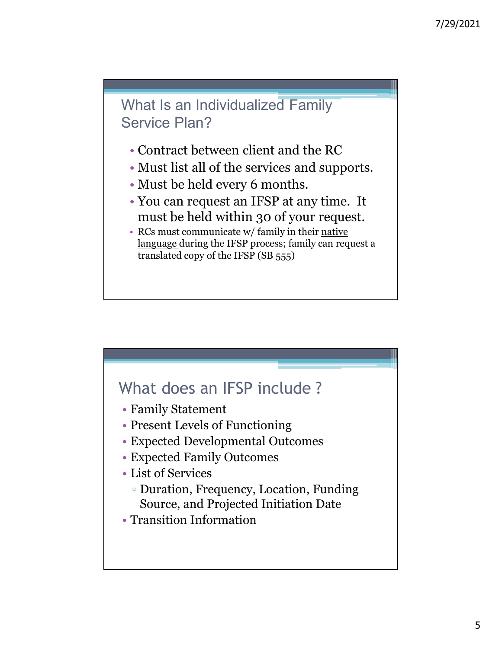

- Contract between client and the RC
- Must list all of the services and supports.
- Must be held every 6 months.
- You can request an IFSP at any time. It must be held within 30 of your request.
- RCs must communicate w/ family in their native language during the IFSP process; family can request a translated copy of the IFSP (SB 555)

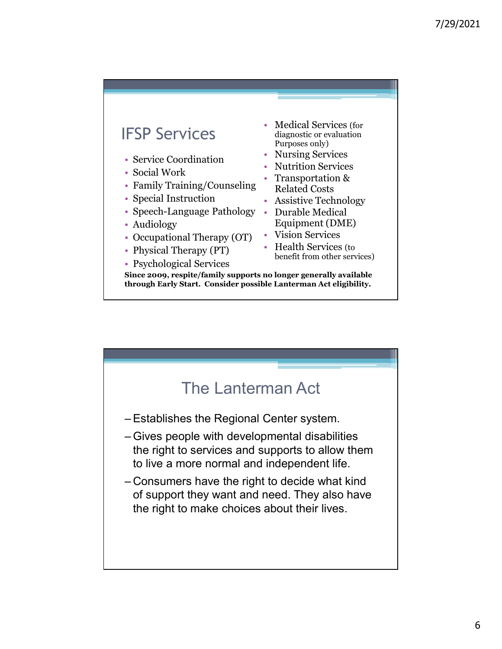### IFSP Services

- Service Coordination
- Social Work
- Family Training/Counseling
- Special Instruction
- Speech-Language Pathology Audiology
- 
- Occupational Therapy (OT)
- Physical Therapy (PT)
- Psychological Services
- Medical Services (for diagnostic or evaluation Purposes only)
- Nursing Services
- Nutrition Services
- Transportation & Related Costs
- Assistive Technology
- Durable Medical Equipment (DME)
- Vision Services
- Health Services (to benefit from other services)

Since 2009, respite/family supports no longer generally available The Services of the Marine Services (for the diagnostic or evaluation<br>
Service Coordination<br>
Startition Services<br>
Start Training/Counseling Transportation &<br>
Framsportation & Transportation &<br>
Framsportation Related Costs<br>

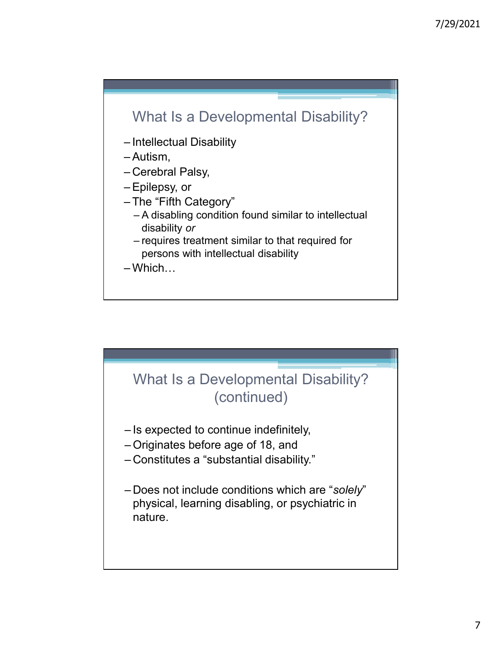

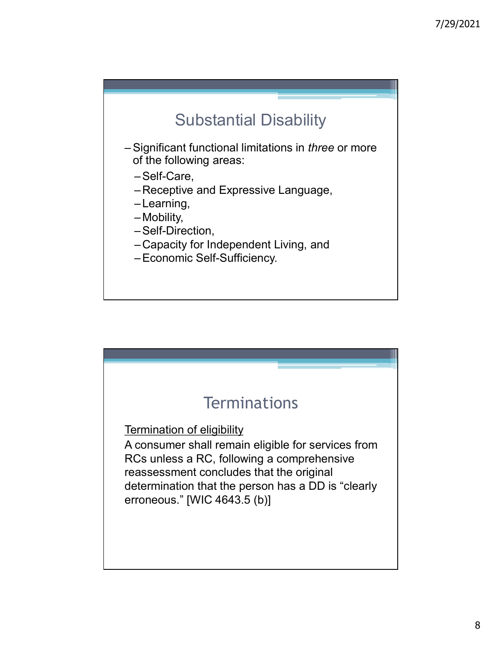

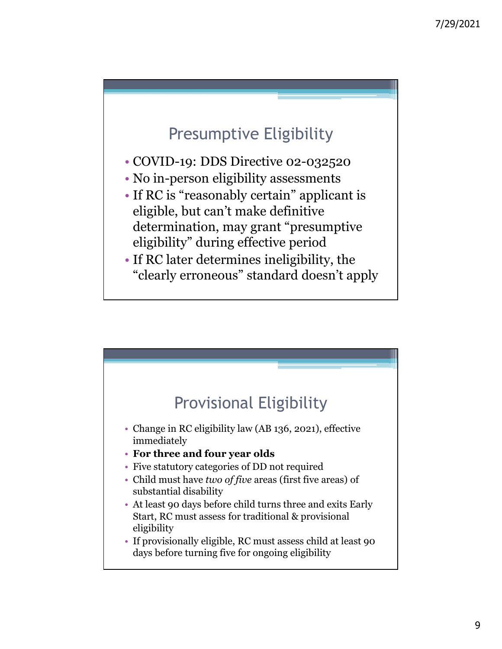# Presumptive Eligibility

- COVID-19: DDS Directive 02-032520
- No in-person eligibility assessments
- If RC is "reasonably certain" applicant is eligible, but can't make definitive determination, may grant "presumptive eligibility" during effective period
- If RC later determines ineligibility, the "clearly erroneous" standard doesn't apply

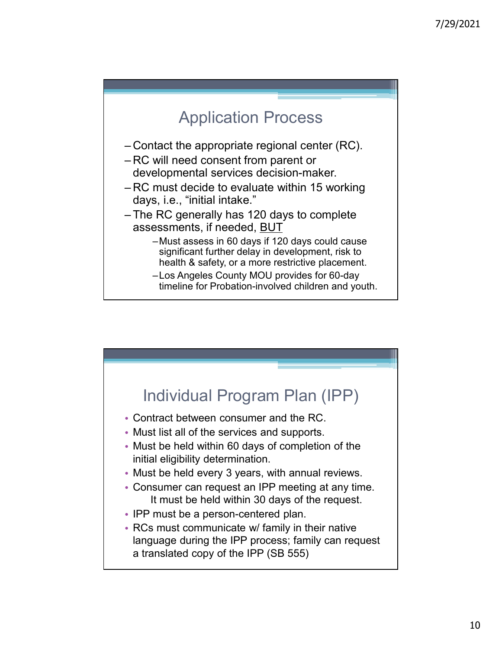

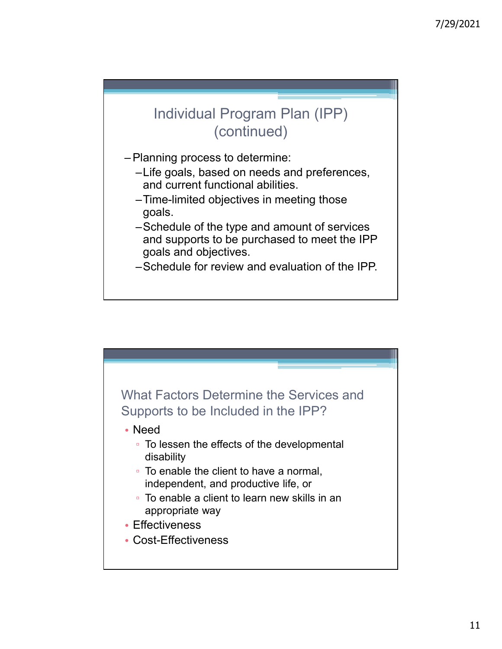

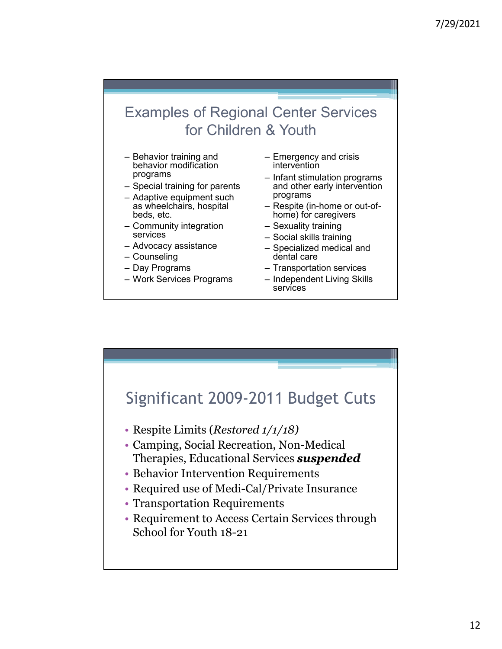# Examples of Regional Center Services for Children & Youth Examples of Regional Center Services<br>
for Children & Youth<br>
- Behavior training and<br>
behavior modification<br>
programs<br>
- Special training for parents<br>
- Adaptive equipment such<br>
- Adaptive equipment such<br>
- as wheelchairs, Examples of Regional Center Services<br>
for Children & Youth<br>
- Behavior training and<br>
- Emergency and crisis<br>
behavior modification<br>
programs<br>
- Special training for parents<br>
- adaptive equipment such and other early interv Examples of Regional Center Services<br>
for Children & Youth<br>
- Behavior training and<br>
- Emergency and crisis<br>
behavior modification<br>
programs<br>
- Special training for parents<br>
- Adaptive equipment such programs<br>
- Advectioni Examples of Regional Center Services<br>
for Children & Youth<br>
- Behavior training and<br>
- Emergency and crisis<br>
behavior modification<br>
- Special training for parents<br>
- Special training for parents<br>
- Adaptive equipment such<br> Examples of Regional Center Services<br>
for Children & Youth<br>
- Behavior training and<br>
- Emergency and crisis<br>
programs<br>
- Special training for parents<br>
- Adaptive equipment such that stimulation programs<br>
- Advocacy as wher Examples of Regional Center Services<br>
for Children & Youth<br>
- Behavior training and<br>
- Emergency and crisis<br>
behavior dification<br>
programs<br>
- Special training for parents<br>
- Special training for parents<br>
- Adaptive equipme Examples of Regional Center Services<br>
for Children & Youth<br>
- Behavior training and<br>
behavior modification<br>
programs<br>
- Adaptive equipment such<br>
- Adaptive equipment such<br>
- Adaptive equipment such<br>
- Adaptive equipment su Examples of Regional Center Services<br>
for Children & Youth<br>
- Behavior training and<br>
behavior modification<br>
programs<br>
- Special training for parents<br>
- Adaptive equipment such and there early intervention<br>
as wheelchairs, 7/29/2021<br>
Center Services<br>
& Youth<br>
- Emergency and crisis<br>
intervention<br>
- Infant stimulation programs<br>
and other early intervention<br>
programs<br>
- Respite (in-home or out-of-7/29/2021<br>
I Center Services<br>
& Youth<br>
- Emergency and crisis<br>
intervention<br>
- Infant stimulation programs<br>
and other early intervention<br>
programs<br>
- Respite (in-home or out-of-<br>
- Sexuality training 7/29/2021<br>
- Center Services<br>
& Youth<br>
- Emergency and crisis<br>
intervention<br>
- Infant stimulation programs<br>
and other early intervention<br>
programs<br>
- Respite (in-home or out-of-home) for caregivers<br>
- Sexuality training<br>
-7/29/2021<br>
Center Services<br>
& Youth<br>
- Emergency and crisis<br>
intervention<br>
- Infant stimulation programs<br>
and other early intervention<br>
programs<br>
- Respite (in-home or out-of-<br>
home) for caregivers<br>
- Social skills trainin 7/29/2021<br>
Center Services<br>
& Youth<br>
- Emergency and crisis<br>
intervention<br>
- Infant stimulation programs<br>
and other early intervention<br>
- Respite (in-home or out-of-<br>
- Sexuality training<br>
- Specialized medical and<br>
- Spec | Center Services<br>
& Youth<br>- Emergency and crisis<br>
intervention<br>
- Infant stimulation programs<br>
and other early intervention<br>
programs<br>
Respite (in-home or out-of-<br>
home) for caregivers<br>
- Sexuality training<br>
- Social skil | Center Services<br>
& Youth<br>
- Emergency and crisis<br>
intervention<br>
- Infant stimulation programs<br>
and other early intervention<br>
programs<br>
- Respite (in-home or out-of-<br>
home) for caregivers<br>
- Sexuality training<br>
- Social s 1 Center Services<br>
& Youth<br>
- Emergency and crisis<br>
intervention<br>
- Infant stimulation programs<br>
and other early intervention<br>
programs<br>
- Respite (in-home or out-of-<br>
home) for caregivers<br>
- Social skills training<br>
- Spec

- behavior modification
- 
- beds, etc.
- services Social skills training
- 
- 
- 
- 
- intervention
- programs  $-$  Infant stimulation programs and other early intervention programs
- as wheelchairs, hospital home) for caregivers
	-
	-
	- dental care
	-
	- services

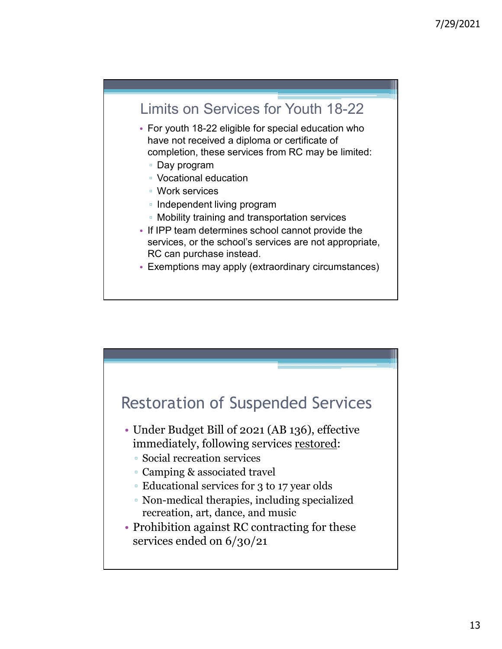

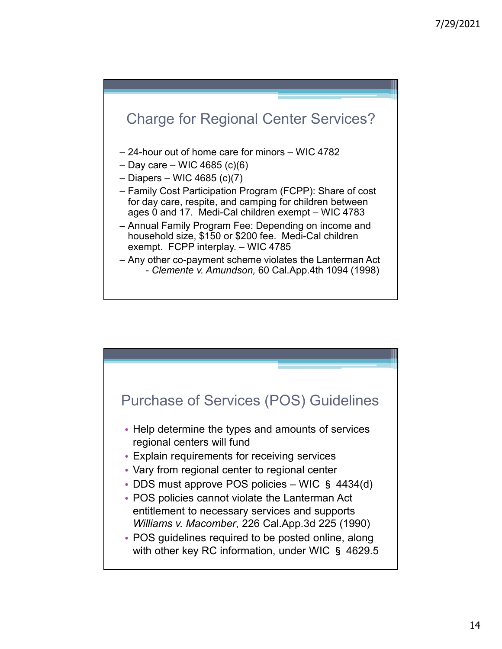

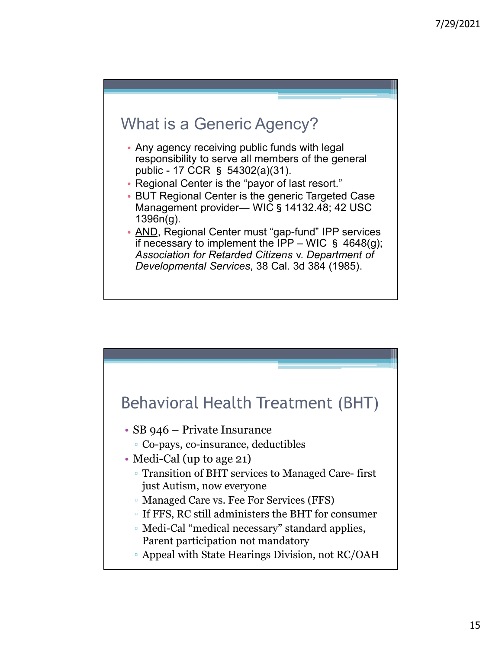

- Any agency receiving public funds with legal responsibility to serve all members of the general
- 
- Public 17 CCR § 54302(a)(31). Any agency receiving public funds with legal<br>responsibility to serve all members of the general<br>public 17 CCR § 54302(a)(31).<br>• Regional Center is the "payor of last resort."<br>• <u>BUT</u> Reg 1396n(g).
- 7/29/2021<br>
Mat is a Generic Agency?<br>
Any agency receiving public funds with legal<br>
responsibility to serve all members of the general<br>
public 17 CCR § 54302(a)(31).<br>
Regional Center is the "payor of last resort."<br>
Manage • AND, Regional Center must "gap-fund" IPP services That is a Generic Agency?<br>
Any agency receiving public funds with legal<br>
responsibility to serve all members of the general<br>
public - 17 CCR § 54302(a)(31).<br>
Regional Center is the "payor of last resort."<br>
Management provi Association for Retarded Citizens v. Department of Developmental Services, 38 Cal. 3d 384 (1985).

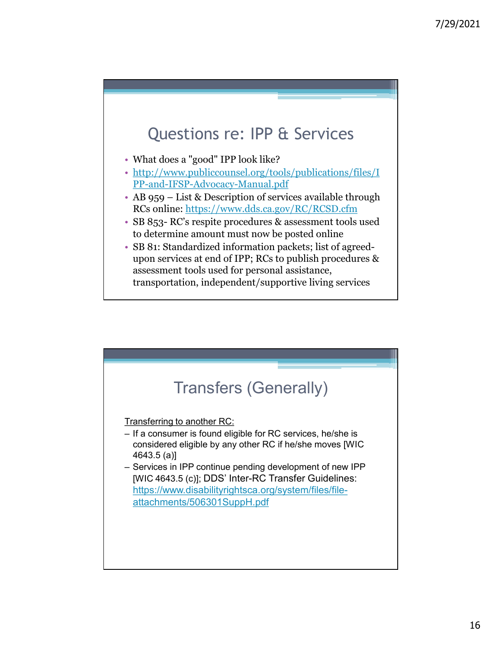

- What does a "good" IPP look like?
- http://www.publiccounsel.org/tools/publications/files/I PP-and-IFSP-Advocacy-Manual.pdf
- RCs online: https://www.dds.ca.gov/RC/RCSD.cfm
- 7/<br>
Questions re: IPP & Services<br>
 What does a "good" IPP look like?<br>
 http://www.publicecoursel.org/tools/publications/files/I<br>
<u>PP-and-IFSP-Advocacy-Manual.pdf</u><br>
 AB 959 List & Description of services available thro to determine amount must now be posted online
- 7/<br>
Cluestions re: IPP & Services<br>
 What does a "good" IPP look like?<br>
 http://www.publiccounsel.org/tools/publications/files/I<br>
<u>PP-and-IFSP-Advocacy-Manual.pdf</u><br>
 RB 959 List & Description of services available thro • SB 81: Standardized information packets; list of agreedupon services at end of IPP; RCs to publish procedures & assessment tools used for personal assistance, transportation, independent/supportive living services

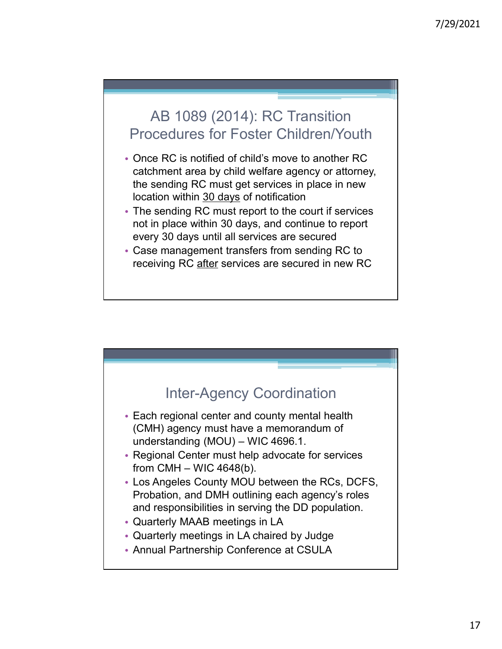### AB 1089 (2014): RC Transition Procedures for Foster Children/Youth

- Once RC is notified of child's move to another RC catchment area by child welfare agency or attorney, the sending RC must get services in place in new 7/29/2021<br>
AB 1089 (2014): RC Transition<br>
Procedures for Foster Children/Youth<br>
Once RC is notified of child's move to another RC<br>
catchment area by child welfare agency or attorney,<br>
the sending RC must get services in pl AB 1089 (2014): RC Transition<br>Procedures for Foster Children/Youth<br>Once RC is notified of child's move to another RC<br>catchment area by child welfare agency or attorney,<br>the sending RC must get services in place in new<br>The
- The sending RC must report to the court if services not in place within 30 days, and continue to report every 30 days until all services are secured
- Case management transfers from sending RC to

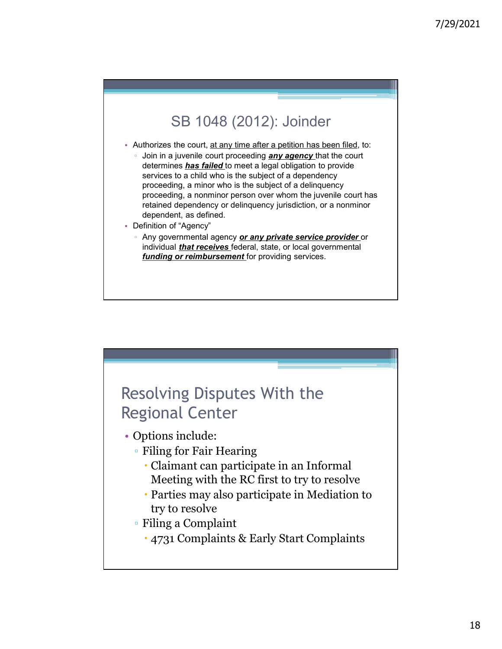

- Authorizes the court, at any time after a petition has been filed, to:
	- Join in a juvenile court proceeding **any agency** that the court determines *has failed* to meet a legal obligation to provide services to a child who is the subject of a dependency proceeding, a minor who is the subject of a delinquency proceeding, a nonminor person over whom the juvenile court has retained dependency or delinquency jurisdiction, or a nonminor dependent, as defined.
- Definition of "Agency"
	- Any governmental agency *or any private service provider* or individual *that receives* federal, state, or local governmental funding or reimbursement for providing services.

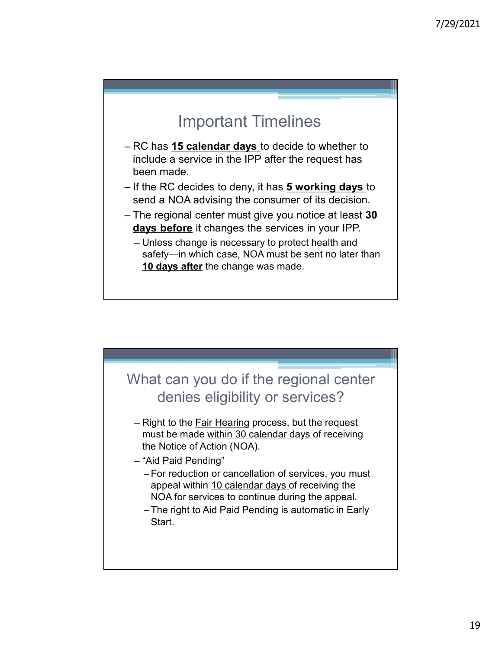## Important Timelines

- metrical distribution of the property of the property of the property of the property of the property of the property of the RC decides to deny, it has  $\frac{5}{5}$  working days to send a NOA advising the consumer of its deci include a service in the IPP after the request has been made. 7/2<br>
Important Timelines<br>
- RC has 15 calendar days to decide to whether to<br>
include a service in the IPP after the request has<br>
been made.<br>
- If the RC decides to deny, it has 5 working days to<br>
send a NOA advising the co 1729<br>
– RC has **15 calendar days** to decide to whether to<br>
include a service in the IPP after the request has<br>
been made.<br>
– If the RC decides to deny, it has **5 working days** to<br>
send a NOA advising the consumer of its de Important Timelines<br>
RC has 15 calendar days to decide to whether to<br>
nclude a service in the IPP after the request has<br>
been made.<br>
If the RC decides to deny, it has 5 working days to<br>
send a NOA advising the consumer of
- send a NOA advising the consumer of its decision.
- days before it changes the services in your IPP.
	- safety—in which case, NOA must be sent no later than 10 days after the change was made.

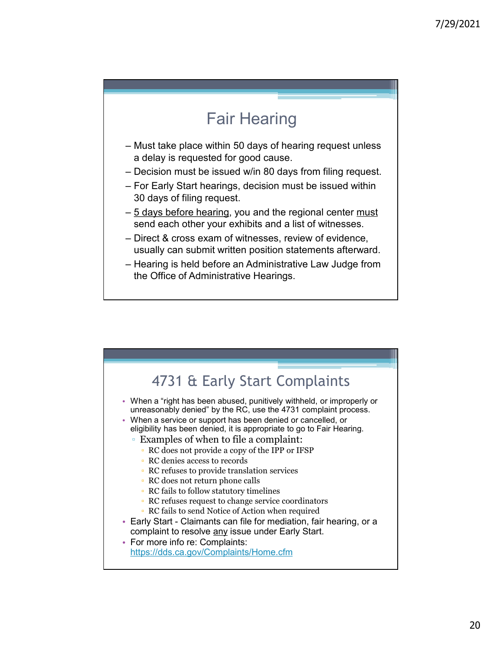# Fair Hearing

- Fair Hearing<br>
 Must take place within 50 days of hearing request unless<br>
 a delay is requested for good cause.<br>
 Decision must be issued win 80 days from filing request.<br>
 Tor Early Start hearings, decision must be iss a delay is requested for good cause.
- 
- 7/25<br>
Fair Hearing<br>
 Must take place within 50 days of hearing request unless<br>
a delay is requested for good cause.<br>
 Decision must be issued w/in 80 days from filing request.<br>
 For Early Start hearings, decision must b Fair Hearing<br>
– Must take place within 50 days of hearing request unless<br>
a delay is requested for good cause.<br>
– Decision must be issued win 80 days from filing request.<br>
– For Early Start hearings, decision must be issue 30 days of filing request. Fair Hearring<br>
– Must take place within 50 days of hearing request unless<br>
– a delay is requested for good cause.<br>
– Decision must be issued win 80 days from filing request.<br>
– For Early Start hearings, decision must be is Fair Hearing<br>
– Must take place within 50 days of hearing request unless<br>
a delay is requested for good cause.<br>
– Decision must be issued win 80 days from filing request.<br>
– For Early Start hearings, decision must be issue Fair Hearing<br>
— Must take place within 50 days of hearing request unless<br>
a delay is requested for good cause.<br>
— Decision must be issued win 80 days from filing request.<br>
— For Early Start hearings, decision must be issue
- send each other your exhibits and a list of witnesses.
- usually can submit written position statements afterward.
- the Office of Administrative Hearings.

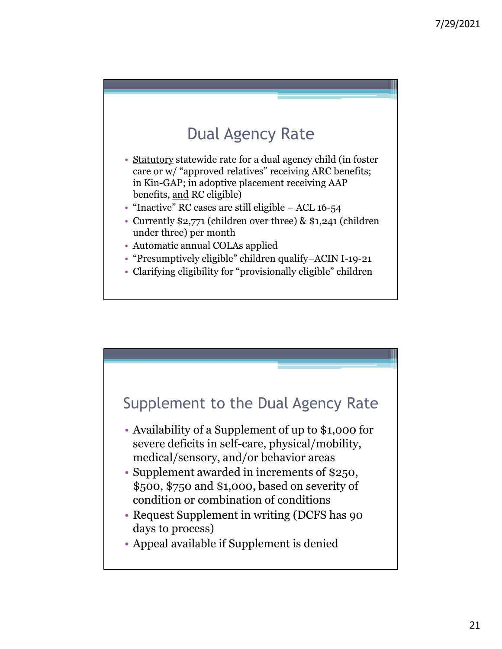# Dual Agency Rate

- 7/<br>
Dual Agency Rate<br>
 Statutory statewide rate for a dual agency child (in foster<br>
care or w/ "approved relatives" receiving ARC benefits;<br>
in Kin-GAP; in adoptive placement receiving AAP<br>
benefits, <u>and</u> RC eligible)<br>
 care or w/ "approved relatives" receiving ARC benefits; in Kin-GAP; in adoptive placement receiving AAP 7/29/2021<br>
DUal Agency Rate<br>
• Statutory statewide rate for a dual agency child (in foster<br>
care or w/ "approved relatives" receiving ARC benefits;<br>
in Kin-GAP; in adoptive placement receiving AAP<br>
benefits, and RC eligibl
- 
- Currently \$2,771 (children over three) & \$1,241 (children under three) per month
- Automatic annual COLAs applied
- "Presumptively eligible" children qualify–ACIN I-19-21
- Clarifying eligibility for "provisionally eligible" children

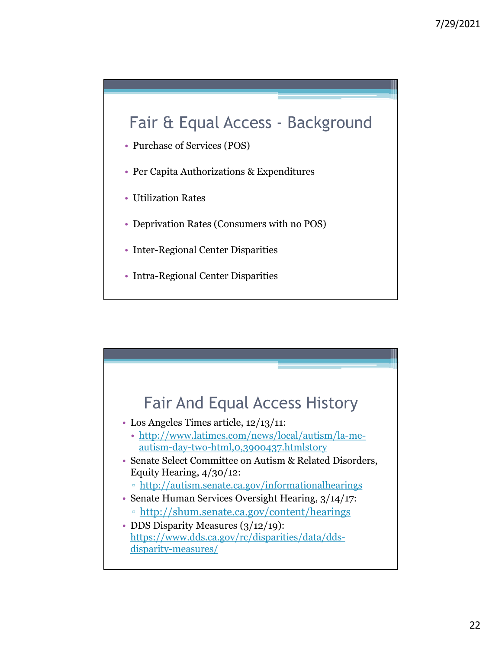# 7/29/2021<br>
Fair & Equal Access - Background<br>
Purchase of Services (POS)<br>
Per Capita Authorizations & Expenditures

- Purchase of Services (POS)
- Per Capita Authorizations & Expenditures
- Utilization Rates
- Deprivation Rates (Consumers with no POS)
- Inter-Regional Center Disparities
- Intra-Regional Center Disparities

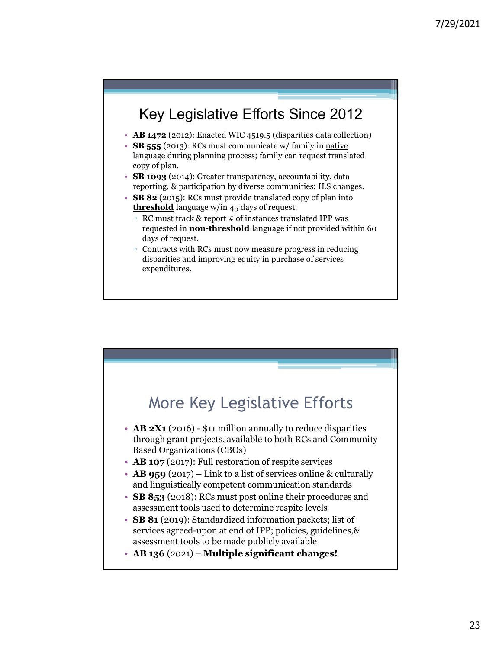### Key Legislative Efforts Since 2012

- AB 1472 (2012): Enacted WIC 4519.5 (disparities data collection)
- **SB 555** (2013): RCs must communicate w/ family in native language during planning process; family can request translated copy of plan.<br>• SB 1093 (2014): Greater transparency, accountability, data
- reporting, & participation by diverse communities; ILS changes.
- SB 82 (2015): RCs must provide translated copy of plan into **threshold** language w/in 45 days of request.
	- RC must track & report # of instances translated IPP was requested in **non-threshold** language if not provided within 60 days of request.
	- Contracts with RCs must now measure progress in reducing disparities and improving equity in purchase of services expenditures.

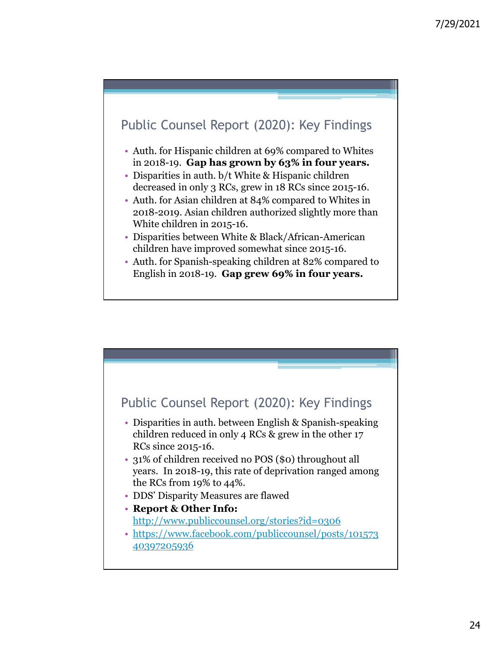

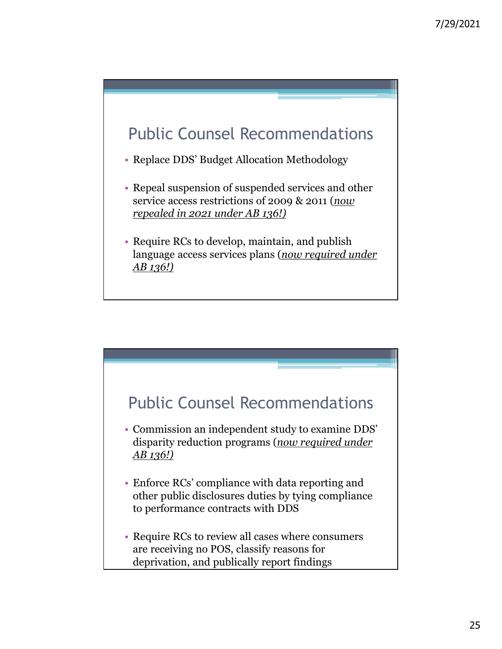

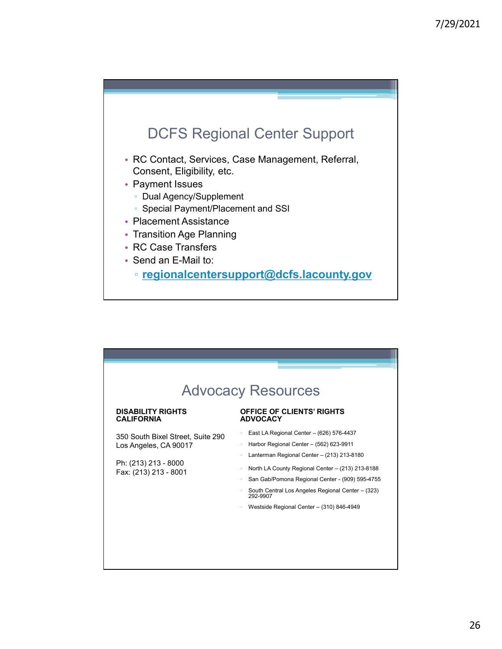